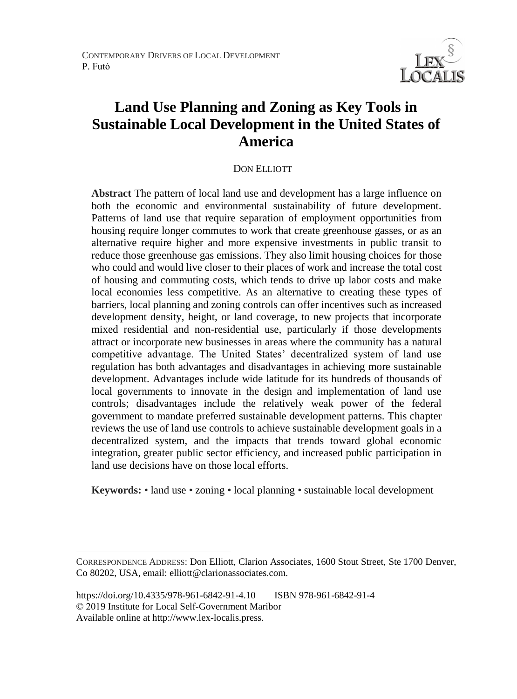CONTEMPORARY DRIVERS OF LOCAL DEVELOPMENT P. Futó



# **Land Use Planning and Zoning as Key Tools in Sustainable Local Development in the United States of America**

### DON ELLIOTT

**Abstract** The pattern of local land use and development has a large influence on both the economic and environmental sustainability of future development. Patterns of land use that require separation of employment opportunities from housing require longer commutes to work that create greenhouse gasses, or as an alternative require higher and more expensive investments in public transit to reduce those greenhouse gas emissions. They also limit housing choices for those who could and would live closer to their places of work and increase the total cost of housing and commuting costs, which tends to drive up labor costs and make local economies less competitive. As an alternative to creating these types of barriers, local planning and zoning controls can offer incentives such as increased development density, height, or land coverage, to new projects that incorporate mixed residential and non-residential use, particularly if those developments attract or incorporate new businesses in areas where the community has a natural competitive advantage. The United States' decentralized system of land use regulation has both advantages and disadvantages in achieving more sustainable development. Advantages include wide latitude for its hundreds of thousands of local governments to innovate in the design and implementation of land use controls; disadvantages include the relatively weak power of the federal government to mandate preferred sustainable development patterns. This chapter reviews the use of land use controls to achieve sustainable development goals in a decentralized system, and the impacts that trends toward global economic integration, greater public sector efficiency, and increased public participation in land use decisions have on those local efforts.

**Keywords:** • land use • zoning • local planning • sustainable local development

 $\overline{a}$ 

CORRESPONDENCE ADDRESS: Don Elliott, Clarion Associates, 1600 Stout Street, Ste 1700 Denver, Co 80202, USA, email: elliott@clarionassociates.com.

https://doi.org/10.4335/978-961-6842-91-4.10 ISBN 978-961-6842-91-4 © 2019 Institute for Local Self-Government Maribor Available online at http://www.lex-localis.press.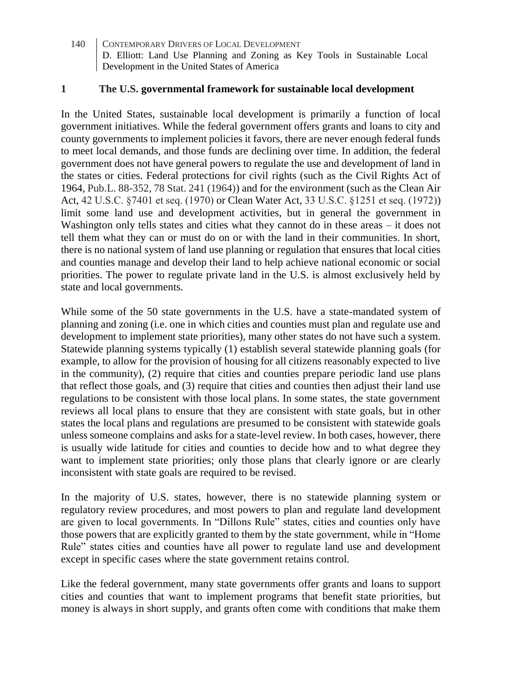### **1 The U.S. governmental framework for sustainable local development**

In the United States, sustainable local development is primarily a function of local government initiatives. While the federal government offers grants and loans to city and county governments to implement policies it favors, there are never enough federal funds to meet local demands, and those funds are declining over time. In addition, the federal government does not have general powers to regulate the use and development of land in the states or cities. Federal protections for civil rights (such as the Civil Rights Act of 1964, Pub.L. 88-352, 78 Stat. 241 (1964)) and for the environment (such as the Clean Air Act, 42 U.S.C. §7401 et seq. (1970) or Clean Water Act, 33 U.S.C. §1251 et seq. (1972)) limit some land use and development activities, but in general the government in Washington only tells states and cities what they cannot do in these areas – it does not tell them what they can or must do on or with the land in their communities. In short, there is no national system of land use planning or regulation that ensures that local cities and counties manage and develop their land to help achieve national economic or social priorities. The power to regulate private land in the U.S. is almost exclusively held by state and local governments.

While some of the 50 state governments in the U.S. have a state-mandated system of planning and zoning (i.e. one in which cities and counties must plan and regulate use and development to implement state priorities), many other states do not have such a system. Statewide planning systems typically (1) establish several statewide planning goals (for example, to allow for the provision of housing for all citizens reasonably expected to live in the community), (2) require that cities and counties prepare periodic land use plans that reflect those goals, and (3) require that cities and counties then adjust their land use regulations to be consistent with those local plans. In some states, the state government reviews all local plans to ensure that they are consistent with state goals, but in other states the local plans and regulations are presumed to be consistent with statewide goals unless someone complains and asks for a state-level review. In both cases, however, there is usually wide latitude for cities and counties to decide how and to what degree they want to implement state priorities; only those plans that clearly ignore or are clearly inconsistent with state goals are required to be revised.

In the majority of U.S. states, however, there is no statewide planning system or regulatory review procedures, and most powers to plan and regulate land development are given to local governments. In "Dillons Rule" states, cities and counties only have those powers that are explicitly granted to them by the state government, while in "Home Rule" states cities and counties have all power to regulate land use and development except in specific cases where the state government retains control.

Like the federal government, many state governments offer grants and loans to support cities and counties that want to implement programs that benefit state priorities, but money is always in short supply, and grants often come with conditions that make them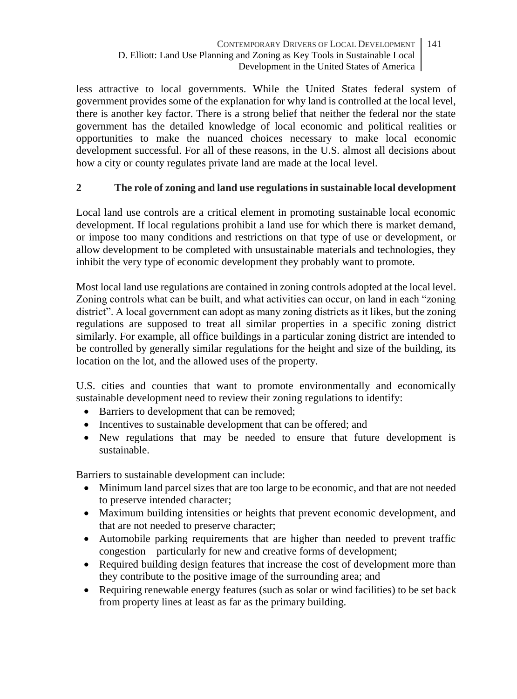less attractive to local governments. While the United States federal system of government provides some of the explanation for why land is controlled at the local level, there is another key factor. There is a strong belief that neither the federal nor the state government has the detailed knowledge of local economic and political realities or opportunities to make the nuanced choices necessary to make local economic development successful. For all of these reasons, in the U.S. almost all decisions about how a city or county regulates private land are made at the local level.

# **2 The role of zoning and land use regulations in sustainable local development**

Local land use controls are a critical element in promoting sustainable local economic development. If local regulations prohibit a land use for which there is market demand, or impose too many conditions and restrictions on that type of use or development, or allow development to be completed with unsustainable materials and technologies, they inhibit the very type of economic development they probably want to promote.

Most local land use regulations are contained in zoning controls adopted at the local level. Zoning controls what can be built, and what activities can occur, on land in each "zoning district". A local government can adopt as many zoning districts as it likes, but the zoning regulations are supposed to treat all similar properties in a specific zoning district similarly. For example, all office buildings in a particular zoning district are intended to be controlled by generally similar regulations for the height and size of the building, its location on the lot, and the allowed uses of the property.

U.S. cities and counties that want to promote environmentally and economically sustainable development need to review their zoning regulations to identify:

- Barriers to development that can be removed:
- Incentives to sustainable development that can be offered; and
- New regulations that may be needed to ensure that future development is sustainable.

Barriers to sustainable development can include:

- Minimum land parcel sizes that are too large to be economic, and that are not needed to preserve intended character;
- Maximum building intensities or heights that prevent economic development, and that are not needed to preserve character;
- Automobile parking requirements that are higher than needed to prevent traffic congestion – particularly for new and creative forms of development;
- Required building design features that increase the cost of development more than they contribute to the positive image of the surrounding area; and
- Requiring renewable energy features (such as solar or wind facilities) to be set back from property lines at least as far as the primary building.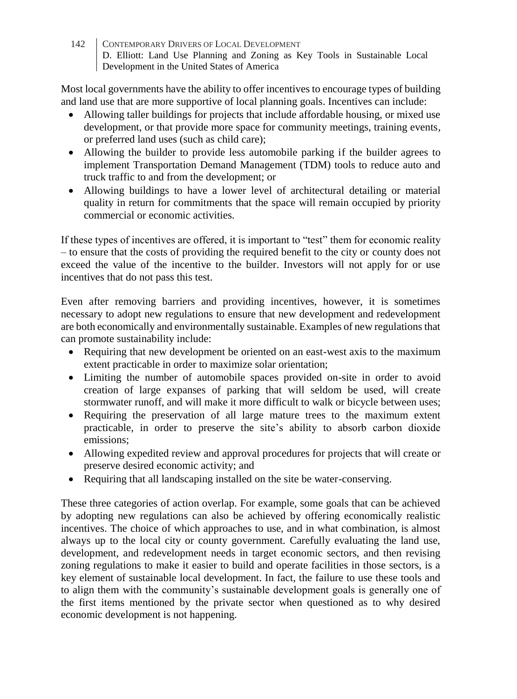Most local governments have the ability to offer incentives to encourage types of building and land use that are more supportive of local planning goals. Incentives can include:

- Allowing taller buildings for projects that include affordable housing, or mixed use development, or that provide more space for community meetings, training events, or preferred land uses (such as child care);
- Allowing the builder to provide less automobile parking if the builder agrees to implement Transportation Demand Management (TDM) tools to reduce auto and truck traffic to and from the development; or
- Allowing buildings to have a lower level of architectural detailing or material quality in return for commitments that the space will remain occupied by priority commercial or economic activities.

If these types of incentives are offered, it is important to "test" them for economic reality – to ensure that the costs of providing the required benefit to the city or county does not exceed the value of the incentive to the builder. Investors will not apply for or use incentives that do not pass this test.

Even after removing barriers and providing incentives, however, it is sometimes necessary to adopt new regulations to ensure that new development and redevelopment are both economically and environmentally sustainable. Examples of new regulations that can promote sustainability include:

- Requiring that new development be oriented on an east-west axis to the maximum extent practicable in order to maximize solar orientation;
- Limiting the number of automobile spaces provided on-site in order to avoid creation of large expanses of parking that will seldom be used, will create stormwater runoff, and will make it more difficult to walk or bicycle between uses;
- Requiring the preservation of all large mature trees to the maximum extent practicable, in order to preserve the site's ability to absorb carbon dioxide emissions;
- Allowing expedited review and approval procedures for projects that will create or preserve desired economic activity; and
- Requiring that all landscaping installed on the site be water-conserving.

These three categories of action overlap. For example, some goals that can be achieved by adopting new regulations can also be achieved by offering economically realistic incentives. The choice of which approaches to use, and in what combination, is almost always up to the local city or county government. Carefully evaluating the land use, development, and redevelopment needs in target economic sectors, and then revising zoning regulations to make it easier to build and operate facilities in those sectors, is a key element of sustainable local development. In fact, the failure to use these tools and to align them with the community's sustainable development goals is generally one of the first items mentioned by the private sector when questioned as to why desired economic development is not happening.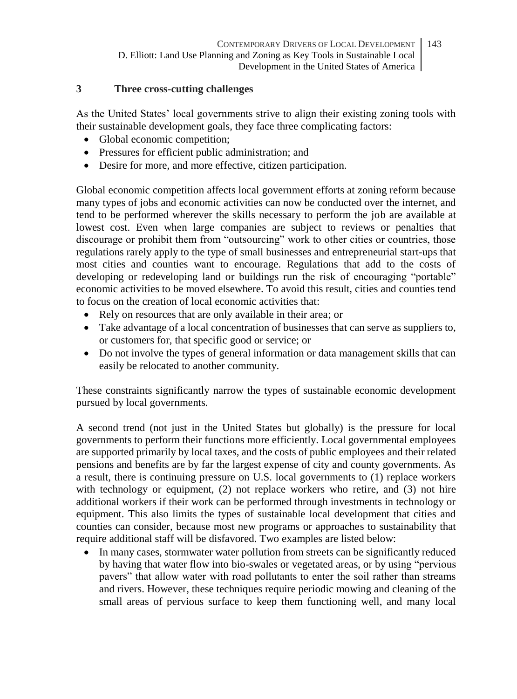## **3 Three cross-cutting challenges**

As the United States' local governments strive to align their existing zoning tools with their sustainable development goals, they face three complicating factors:

- Global economic competition;
- Pressures for efficient public administration; and
- Desire for more, and more effective, citizen participation.

Global economic competition affects local government efforts at zoning reform because many types of jobs and economic activities can now be conducted over the internet, and tend to be performed wherever the skills necessary to perform the job are available at lowest cost. Even when large companies are subject to reviews or penalties that discourage or prohibit them from "outsourcing" work to other cities or countries, those regulations rarely apply to the type of small businesses and entrepreneurial start-ups that most cities and counties want to encourage. Regulations that add to the costs of developing or redeveloping land or buildings run the risk of encouraging "portable" economic activities to be moved elsewhere. To avoid this result, cities and counties tend to focus on the creation of local economic activities that:

- Rely on resources that are only available in their area; or
- Take advantage of a local concentration of businesses that can serve as suppliers to, or customers for, that specific good or service; or
- Do not involve the types of general information or data management skills that can easily be relocated to another community.

These constraints significantly narrow the types of sustainable economic development pursued by local governments.

A second trend (not just in the United States but globally) is the pressure for local governments to perform their functions more efficiently. Local governmental employees are supported primarily by local taxes, and the costs of public employees and their related pensions and benefits are by far the largest expense of city and county governments. As a result, there is continuing pressure on U.S. local governments to (1) replace workers with technology or equipment, (2) not replace workers who retire, and (3) not hire additional workers if their work can be performed through investments in technology or equipment. This also limits the types of sustainable local development that cities and counties can consider, because most new programs or approaches to sustainability that require additional staff will be disfavored. Two examples are listed below:

• In many cases, stormwater water pollution from streets can be significantly reduced by having that water flow into bio-swales or vegetated areas, or by using "pervious pavers" that allow water with road pollutants to enter the soil rather than streams and rivers. However, these techniques require periodic mowing and cleaning of the small areas of pervious surface to keep them functioning well, and many local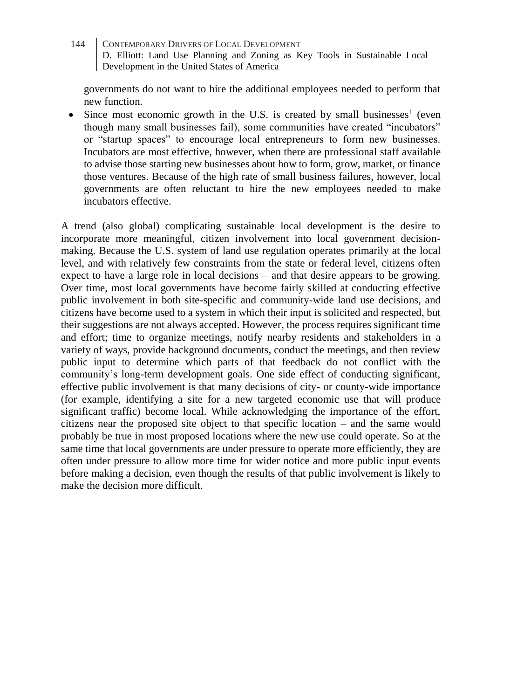governments do not want to hire the additional employees needed to perform that new function.

• Since most economic growth in the U.S. is created by small businesses<sup>1</sup> (even though many small businesses fail), some communities have created "incubators" or "startup spaces" to encourage local entrepreneurs to form new businesses. Incubators are most effective, however, when there are professional staff available to advise those starting new businesses about how to form, grow, market, or finance those ventures. Because of the high rate of small business failures, however, local governments are often reluctant to hire the new employees needed to make incubators effective.

A trend (also global) complicating sustainable local development is the desire to incorporate more meaningful, citizen involvement into local government decisionmaking. Because the U.S. system of land use regulation operates primarily at the local level, and with relatively few constraints from the state or federal level, citizens often expect to have a large role in local decisions – and that desire appears to be growing. Over time, most local governments have become fairly skilled at conducting effective public involvement in both site-specific and community-wide land use decisions, and citizens have become used to a system in which their input is solicited and respected, but their suggestions are not always accepted. However, the process requires significant time and effort; time to organize meetings, notify nearby residents and stakeholders in a variety of ways, provide background documents, conduct the meetings, and then review public input to determine which parts of that feedback do not conflict with the community's long-term development goals. One side effect of conducting significant, effective public involvement is that many decisions of city- or county-wide importance (for example, identifying a site for a new targeted economic use that will produce significant traffic) become local. While acknowledging the importance of the effort, citizens near the proposed site object to that specific location – and the same would probably be true in most proposed locations where the new use could operate. So at the same time that local governments are under pressure to operate more efficiently, they are often under pressure to allow more time for wider notice and more public input events before making a decision, even though the results of that public involvement is likely to make the decision more difficult.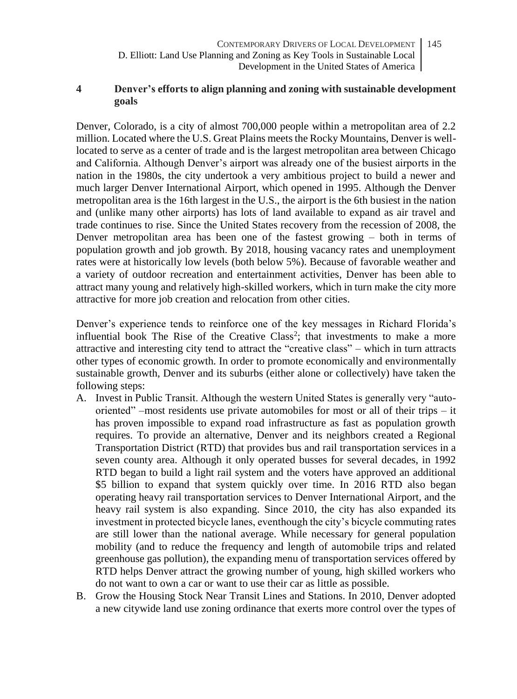- CONTEMPORARY DRIVERS OF LOCAL DEVELOPMENT D. Elliott: Land Use Planning and Zoning as Key Tools in Sustainable Local Development in the United States of America 145
- **4 Denver's efforts to align planning and zoning with sustainable development goals**

Denver, Colorado, is a city of almost 700,000 people within a metropolitan area of 2.2 million. Located where the U.S. Great Plains meets the Rocky Mountains, Denver is welllocated to serve as a center of trade and is the largest metropolitan area between Chicago and California. Although Denver's airport was already one of the busiest airports in the nation in the 1980s, the city undertook a very ambitious project to build a newer and much larger Denver International Airport, which opened in 1995. Although the Denver metropolitan area is the 16th largest in the U.S., the airport is the 6th busiest in the nation and (unlike many other airports) has lots of land available to expand as air travel and trade continues to rise. Since the United States recovery from the recession of 2008, the Denver metropolitan area has been one of the fastest growing – both in terms of population growth and job growth. By 2018, housing vacancy rates and unemployment rates were at historically low levels (both below 5%). Because of favorable weather and a variety of outdoor recreation and entertainment activities, Denver has been able to attract many young and relatively high-skilled workers, which in turn make the city more attractive for more job creation and relocation from other cities.

Denver's experience tends to reinforce one of the key messages in Richard Florida's influential book The Rise of the Creative Class<sup>2</sup>; that investments to make a more attractive and interesting city tend to attract the "creative class" – which in turn attracts other types of economic growth. In order to promote economically and environmentally sustainable growth, Denver and its suburbs (either alone or collectively) have taken the following steps:

- A. Invest in Public Transit. Although the western United States is generally very "autooriented" –most residents use private automobiles for most or all of their trips – it has proven impossible to expand road infrastructure as fast as population growth requires. To provide an alternative, Denver and its neighbors created a Regional Transportation District (RTD) that provides bus and rail transportation services in a seven county area. Although it only operated busses for several decades, in 1992 RTD began to build a light rail system and the voters have approved an additional \$5 billion to expand that system quickly over time. In 2016 RTD also began operating heavy rail transportation services to Denver International Airport, and the heavy rail system is also expanding. Since 2010, the city has also expanded its investment in protected bicycle lanes, eventhough the city's bicycle commuting rates are still lower than the national average. While necessary for general population mobility (and to reduce the frequency and length of automobile trips and related greenhouse gas pollution), the expanding menu of transportation services offered by RTD helps Denver attract the growing number of young, high skilled workers who do not want to own a car or want to use their car as little as possible.
- B. Grow the Housing Stock Near Transit Lines and Stations. In 2010, Denver adopted a new citywide land use zoning ordinance that exerts more control over the types of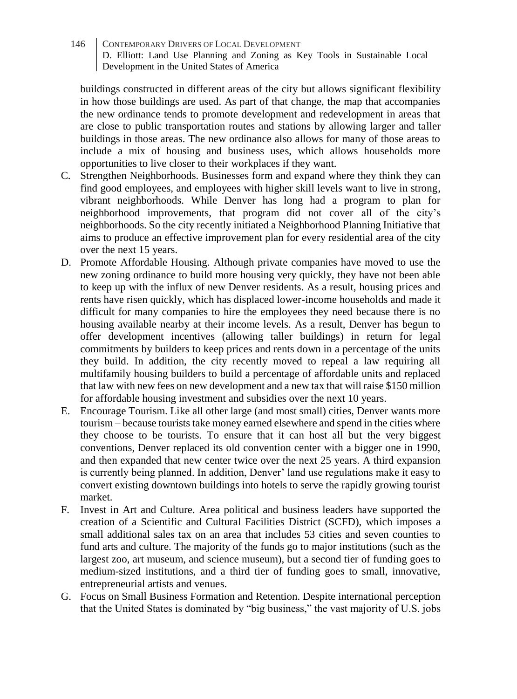buildings constructed in different areas of the city but allows significant flexibility in how those buildings are used. As part of that change, the map that accompanies the new ordinance tends to promote development and redevelopment in areas that are close to public transportation routes and stations by allowing larger and taller buildings in those areas. The new ordinance also allows for many of those areas to include a mix of housing and business uses, which allows households more opportunities to live closer to their workplaces if they want.

- C. Strengthen Neighborhoods. Businesses form and expand where they think they can find good employees, and employees with higher skill levels want to live in strong, vibrant neighborhoods. While Denver has long had a program to plan for neighborhood improvements, that program did not cover all of the city's neighborhoods. So the city recently initiated a Neighborhood Planning Initiative that aims to produce an effective improvement plan for every residential area of the city over the next 15 years.
- D. Promote Affordable Housing. Although private companies have moved to use the new zoning ordinance to build more housing very quickly, they have not been able to keep up with the influx of new Denver residents. As a result, housing prices and rents have risen quickly, which has displaced lower-income households and made it difficult for many companies to hire the employees they need because there is no housing available nearby at their income levels. As a result, Denver has begun to offer development incentives (allowing taller buildings) in return for legal commitments by builders to keep prices and rents down in a percentage of the units they build. In addition, the city recently moved to repeal a law requiring all multifamily housing builders to build a percentage of affordable units and replaced that law with new fees on new development and a new tax that will raise \$150 million for affordable housing investment and subsidies over the next 10 years.
- E. Encourage Tourism. Like all other large (and most small) cities, Denver wants more tourism – because tourists take money earned elsewhere and spend in the cities where they choose to be tourists. To ensure that it can host all but the very biggest conventions, Denver replaced its old convention center with a bigger one in 1990, and then expanded that new center twice over the next 25 years. A third expansion is currently being planned. In addition, Denver' land use regulations make it easy to convert existing downtown buildings into hotels to serve the rapidly growing tourist market.
- F. Invest in Art and Culture. Area political and business leaders have supported the creation of a Scientific and Cultural Facilities District (SCFD), which imposes a small additional sales tax on an area that includes 53 cities and seven counties to fund arts and culture. The majority of the funds go to major institutions (such as the largest zoo, art museum, and science museum), but a second tier of funding goes to medium-sized institutions, and a third tier of funding goes to small, innovative, entrepreneurial artists and venues.
- G. Focus on Small Business Formation and Retention. Despite international perception that the United States is dominated by "big business," the vast majority of U.S. jobs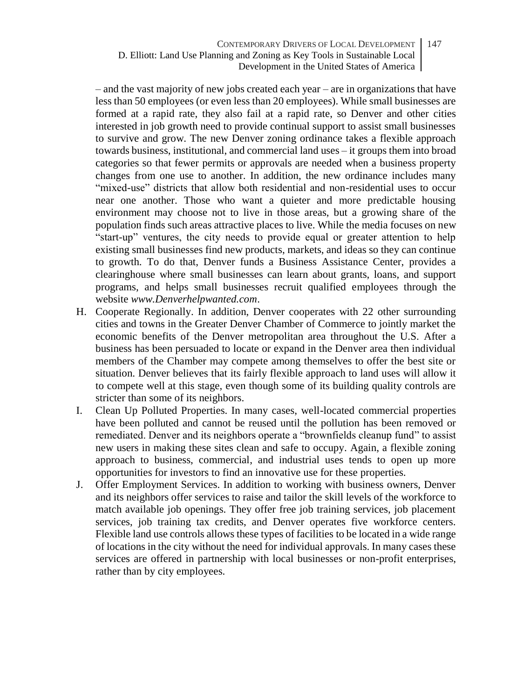– and the vast majority of new jobs created each year – are in organizations that have less than 50 employees (or even less than 20 employees). While small businesses are formed at a rapid rate, they also fail at a rapid rate, so Denver and other cities interested in job growth need to provide continual support to assist small businesses to survive and grow. The new Denver zoning ordinance takes a flexible approach towards business, institutional, and commercial land uses – it groups them into broad categories so that fewer permits or approvals are needed when a business property changes from one use to another. In addition, the new ordinance includes many "mixed-use" districts that allow both residential and non-residential uses to occur near one another. Those who want a quieter and more predictable housing environment may choose not to live in those areas, but a growing share of the population finds such areas attractive places to live. While the media focuses on new "start-up" ventures, the city needs to provide equal or greater attention to help existing small businesses find new products, markets, and ideas so they can continue to growth. To do that, Denver funds a Business Assistance Center, provides a clearinghouse where small businesses can learn about grants, loans, and support programs, and helps small businesses recruit qualified employees through the website *www.Denverhelpwanted.com*.

- H. Cooperate Regionally. In addition, Denver cooperates with 22 other surrounding cities and towns in the Greater Denver Chamber of Commerce to jointly market the economic benefits of the Denver metropolitan area throughout the U.S. After a business has been persuaded to locate or expand in the Denver area then individual members of the Chamber may compete among themselves to offer the best site or situation. Denver believes that its fairly flexible approach to land uses will allow it to compete well at this stage, even though some of its building quality controls are stricter than some of its neighbors.
- I. Clean Up Polluted Properties. In many cases, well-located commercial properties have been polluted and cannot be reused until the pollution has been removed or remediated. Denver and its neighbors operate a "brownfields cleanup fund" to assist new users in making these sites clean and safe to occupy. Again, a flexible zoning approach to business, commercial, and industrial uses tends to open up more opportunities for investors to find an innovative use for these properties.
- J. Offer Employment Services. In addition to working with business owners, Denver and its neighbors offer services to raise and tailor the skill levels of the workforce to match available job openings. They offer free job training services, job placement services, job training tax credits, and Denver operates five workforce centers. Flexible land use controls allows these types of facilities to be located in a wide range of locations in the city without the need for individual approvals. In many cases these services are offered in partnership with local businesses or non-profit enterprises, rather than by city employees.